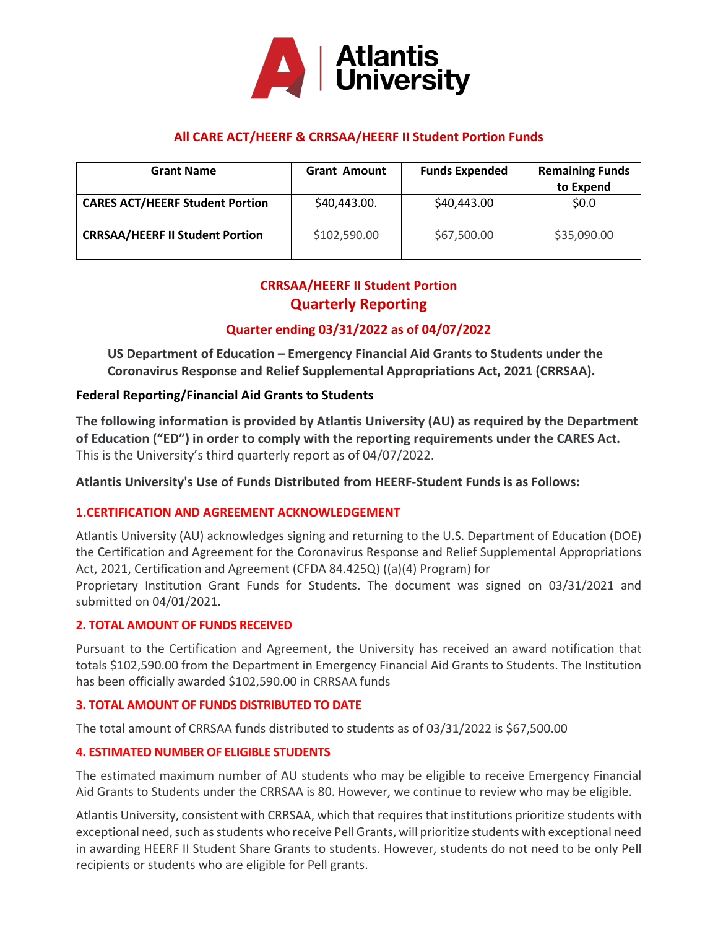

# **All CARE ACT/HEERF & CRRSAA/HEERF II Student Portion Funds**

| <b>Grant Name</b>                      | <b>Grant Amount</b> | <b>Funds Expended</b> | <b>Remaining Funds</b><br>to Expend |
|----------------------------------------|---------------------|-----------------------|-------------------------------------|
| <b>CARES ACT/HEERF Student Portion</b> | \$40,443.00.        | \$40,443.00           | \$0.0\$                             |
| <b>CRRSAA/HEERF II Student Portion</b> | \$102,590.00        | \$67,500.00           | \$35,090.00                         |

# **CRRSAA/HEERF II Student Portion Quarterly Reporting**

# **Quarter ending 03/31/2022 as of 04/07/2022**

**US Department of Education – Emergency Financial Aid Grants to Students under the Coronavirus Response and Relief Supplemental Appropriations Act, 2021 (CRRSAA).**

## **Federal Reporting/Financial Aid Grants to Students**

**The following information is provided by Atlantis University (AU) as required by the Department of Education ("ED") in order to comply with the reporting requirements under the CARES Act.**  This is the University's third quarterly report as of 04/07/2022.

**Atlantis University's Use of Funds Distributed from HEERF-Student Funds is as Follows:**

## **1.CERTIFICATION AND AGREEMENT ACKNOWLEDGEMENT**

Atlantis University (AU) acknowledges signing and returning to the U.S. Department of Education (DOE) the Certification and Agreement for the Coronavirus Response and Relief Supplemental Appropriations Act, 2021, Certification and Agreement (CFDA 84.425Q) ((a)(4) Program) for

Proprietary Institution Grant Funds for Students. The document was signed on 03/31/2021 and submitted on 04/01/2021.

## **2. TOTAL AMOUNT OF FUNDS RECEIVED**

Pursuant to the Certification and Agreement, the University has received an award notification that totals \$102,590.00 from the Department in Emergency Financial Aid Grants to Students. The Institution has been officially awarded \$102,590.00 in CRRSAA funds

## **3. TOTAL AMOUNT OF FUNDS DISTRIBUTED TO DATE**

The total amount of CRRSAA funds distributed to students as of 03/31/2022 is \$67,500.00

## **4. ESTIMATED NUMBER OF ELIGIBLE STUDENTS**

The estimated maximum number of AU students who may be eligible to receive Emergency Financial Aid Grants to Students under the CRRSAA is 80. However, we continue to review who may be eligible.

Atlantis University, consistent with CRRSAA, which that requires that institutions prioritize students with exceptional need, such as students who receive Pell Grants, will prioritize students with exceptional need in awarding HEERF II Student Share Grants to students. However, students do not need to be only Pell recipients or students who are eligible for Pell grants.